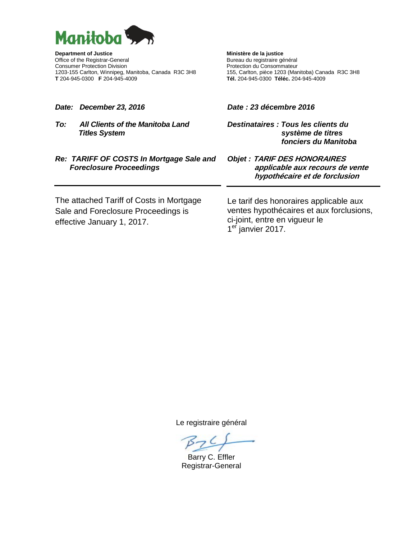

**Department of Justice Chinage Chinage Chinage Chinage Chinage Purpose Chinage Chinage Chinage Chinage Chinage Chinage Chinage Chinage Chinage Chinage Chinage Chinage Chinage Chinage Chinage Chinage Chinage Chinage Chinage** Consumer Protection Division<br>1203-155 Carlton, Winnipeg, Manitoba, Canada R3C 3H8<br>155, Carlton, pièce 1203 (Manitoba) Canada R3C 3H8 1203-155 Carlton, Winnipeg, Manitoba, Canada R3C 3H8<br>T 204-945-0300 F 204-945-4009

Bureau du registraire général<br>Protection du Consommateur **T** 204-945-0300 **F** 204-945-4009 **Tél.** 204-945-0300 **Téléc.** 204-945-4009

*Date: December 23, 2016*

*To: All Clients of the Manitoba Land Titles System*

### *Date : 23 décembre 2016*

*Destinataires : Tous les clients du système de titres fonciers du Manitoba*

## *Re: TARIFF OF COSTS In Mortgage Sale and Foreclosure Proceedings*

*Objet :* **TARIF DES HONORAIRES applicable aux recours de vente hypothécaire et de forclusion**

The attached Tariff of Costs in Mortgage Sale and Foreclosure Proceedings is effective January 1, 2017.

Le tarif des honoraires applicable aux ventes hypothécaires et aux forclusions, ci-joint, entre en vigueur le 1<sup>er</sup> janvier 2017.

Le registraire général

 $BZC$ 

Barry C. Effler Registrar-General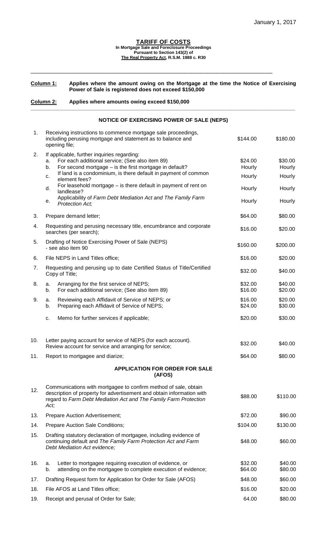#### **TARIFF OF COSTS In Mortgage Sale and Foreclosure Proceedings Pursuant to Section 143(2) of The Real Property Act, R.S.M. 1988 c. R30**

### **Column 1: Applies where the amount owing on the Mortgage at the time the Notice of Exercising Power of Sale is registered does not exceed \$150,000**

\_\_\_\_\_\_\_\_\_\_\_\_\_\_\_\_\_\_\_\_\_\_\_\_\_\_\_\_\_\_\_\_\_\_\_\_\_\_\_\_\_\_\_\_\_\_\_\_\_\_\_\_\_\_\_\_\_\_\_\_\_\_\_\_\_\_\_\_\_\_\_\_\_\_

# **Column 2: Applies where amounts owing exceed \$150,000**

## **NOTICE OF EXERCISING POWER OF SALE (NEPS)**

**\_\_\_\_\_\_\_\_\_\_\_\_\_\_\_\_\_\_\_\_\_\_\_\_\_\_\_\_\_\_\_\_\_\_\_\_\_\_\_\_\_\_\_\_\_\_\_\_\_\_\_\_\_\_\_\_\_\_\_\_\_\_\_\_\_\_\_\_\_\_\_\_\_\_\_\_\_\_\_\_\_\_\_\_\_\_\_\_\_**

| 1.  | Receiving instructions to commence mortgage sale proceedings,<br>including perusing mortgage and statement as to balance and<br>opening file;                                                                        | \$144.00           | \$180.00           |
|-----|----------------------------------------------------------------------------------------------------------------------------------------------------------------------------------------------------------------------|--------------------|--------------------|
| 2.  | If applicable, further inquiries regarding:<br>For each additional service; (See also item 89)<br>a.<br>For second mortgage $-$ is the first mortgage in default?<br>b.                                              | \$24.00<br>Hourly  | \$30.00<br>Hourly  |
|     | If land is a condominium, is there default in payment of common<br>c.<br>element fees?                                                                                                                               | Hourly             | Hourly             |
|     | For leasehold mortgage $-$ is there default in payment of rent on<br>d.<br>landlease?                                                                                                                                | Hourly             | Hourly             |
|     | Applicability of Farm Debt Mediation Act and The Family Farm<br>е.<br><b>Protection Act;</b>                                                                                                                         | Hourly             | Hourly             |
| 3.  | Prepare demand letter;                                                                                                                                                                                               | \$64.00            | \$80.00            |
| 4.  | Requesting and perusing necessary title, encumbrance and corporate<br>searches (per search);                                                                                                                         | \$16.00            | \$20.00            |
| 5.  | Drafting of Notice Exercising Power of Sale (NEPS)<br>- see also item 90                                                                                                                                             | \$160.00           | \$200.00           |
| 6.  | File NEPS in Land Titles office;                                                                                                                                                                                     | \$16.00            | \$20.00            |
| 7.  | Requesting and perusing up to date Certified Status of Title/Certified<br>Copy of Title;                                                                                                                             | \$32.00            | \$40.00            |
| 8.  | Arranging for the first service of NEPS;<br>a.<br>For each additional service; (See also item 89)<br>b.                                                                                                              | \$32.00<br>\$16.00 | \$40.00<br>\$20.00 |
| 9.  | Reviewing each Affidavit of Service of NEPS; or<br>a.<br>Preparing each Affidavit of Service of NEPS;<br>b.                                                                                                          | \$16.00<br>\$24.00 | \$20.00<br>\$30.00 |
|     | Memo for further services if applicable;<br>c.                                                                                                                                                                       | \$20.00            | \$30.00            |
| 10. | Letter paying account for service of NEPS (for each account).<br>Review account for service and arranging for service;                                                                                               | \$32.00            | \$40.00            |
| 11. | Report to mortgagee and diarize;                                                                                                                                                                                     | \$64.00            | \$80.00            |
|     | APPLICATION FOR ORDER FOR SALE<br>(AFOS)                                                                                                                                                                             |                    |                    |
| 12. | Communications with mortgagee to confirm method of sale, obtain<br>description of property for advertisement and obtain information with<br>regard to Farm Debt Mediation Act and The Family Farm Protection<br>Act; | \$88.00            | \$110.00           |
| 13. | Prepare Auction Advertisement;                                                                                                                                                                                       | \$72.00            | \$90.00            |
| 14. | Prepare Auction Sale Conditions;                                                                                                                                                                                     | \$104.00           | \$130.00           |
| 15. | Drafting statutory declaration of mortgagee, including evidence of<br>continuing default and The Family Farm Protection Act and Farm<br>Debt Mediation Act evidence;                                                 | \$48.00            | \$60.00            |
| 16. | Letter to mortgagee requiring execution of evidence, or<br>a.<br>attending on the mortgagee to complete execution of evidence;<br>b.                                                                                 | \$32.00<br>\$64.00 | \$40.00<br>\$80.00 |
| 17. | Drafting Request form for Application for Order for Sale (AFOS)                                                                                                                                                      | \$48.00            | \$60.00            |
| 18. | File AFOS at Land Titles office;                                                                                                                                                                                     | \$16.00            | \$20.00            |
| 19. | Receipt and perusal of Order for Sale;                                                                                                                                                                               | 64.00              | \$80.00            |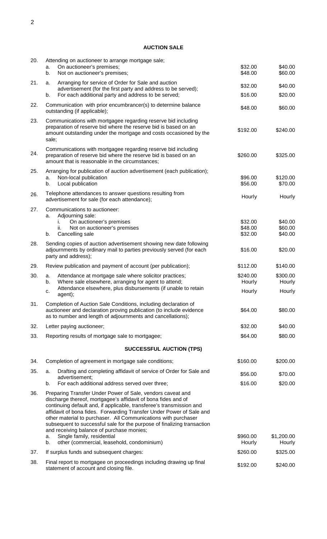# **AUCTION SALE**

| 20. | Attending on auctioneer to arrange mortgage sale;<br>On auctioneer's premises;<br>a.                                                                                                                                                                                                                                                                                                                                                                                  | \$32.00                       | \$40.00                       |
|-----|-----------------------------------------------------------------------------------------------------------------------------------------------------------------------------------------------------------------------------------------------------------------------------------------------------------------------------------------------------------------------------------------------------------------------------------------------------------------------|-------------------------------|-------------------------------|
|     | b.<br>Not on auctioneer's premises;                                                                                                                                                                                                                                                                                                                                                                                                                                   | \$48.00                       | \$60.00                       |
| 21. | Arranging for service of Order for Sale and auction<br>a.<br>advertisement (for the first party and address to be served);                                                                                                                                                                                                                                                                                                                                            | \$32.00                       | \$40.00                       |
|     | For each additional party and address to be served;<br>b.                                                                                                                                                                                                                                                                                                                                                                                                             | \$16.00                       | \$20.00                       |
| 22. | Communication with prior encumbrancer(s) to determine balance<br>outstanding (if applicable);                                                                                                                                                                                                                                                                                                                                                                         | \$48.00                       | \$60.00                       |
| 23. | Communications with mortgagee regarding reserve bid including<br>preparation of reserve bid where the reserve bid is based on an<br>amount outstanding under the mortgage and costs occasioned by the<br>sale;                                                                                                                                                                                                                                                        | \$192.00                      | \$240.00                      |
| 24. | Communications with mortgagee regarding reserve bid including<br>preparation of reserve bid where the reserve bid is based on an<br>amount that is reasonable in the circumstances;                                                                                                                                                                                                                                                                                   | \$260.00                      | \$325.00                      |
| 25. | Arranging for publication of auction advertisement (each publication);<br>Non-local publication<br>a.<br>Local publication<br>b.                                                                                                                                                                                                                                                                                                                                      | \$96.00<br>\$56.00            | \$120.00<br>\$70.00           |
|     |                                                                                                                                                                                                                                                                                                                                                                                                                                                                       |                               |                               |
| 26. | Telephone attendances to answer questions resulting from<br>advertisement for sale (for each attendance);                                                                                                                                                                                                                                                                                                                                                             | Hourly                        | Hourly                        |
| 27. | Communications to auctioneer:<br>Adjourning sale:<br>a.<br>On auctioneer's premises<br>İ.<br>Not on auctioneer's premises<br>ii.<br>b.<br>Cancelling sale                                                                                                                                                                                                                                                                                                             | \$32.00<br>\$48.00<br>\$32.00 | \$40.00<br>\$60.00<br>\$40.00 |
| 28. | Sending copies of auction advertisement showing new date following<br>adjournments by ordinary mail to parties previously served (for each<br>party and address);                                                                                                                                                                                                                                                                                                     | \$16.00                       | \$20.00                       |
| 29. | Review publication and payment of account (per publication);                                                                                                                                                                                                                                                                                                                                                                                                          | \$112.00                      | \$140.00                      |
| 30. | Attendance at mortgage sale where solicitor practices;<br>a.                                                                                                                                                                                                                                                                                                                                                                                                          | \$240.00                      | \$300.00                      |
|     | Where sale elsewhere, arranging for agent to attend;<br>b.<br>Attendance elsewhere, plus disbursements (if unable to retain<br>c.<br>agent);                                                                                                                                                                                                                                                                                                                          | Hourly<br>Hourly              | Hourly<br>Hourly              |
| 31. | Completion of Auction Sale Conditions, including declaration of<br>auctioneer and declaration proving publication (to include evidence<br>as to number and length of adjournments and cancellations);                                                                                                                                                                                                                                                                 | \$64.00                       | \$80.00                       |
| 32. | Letter paying auctioneer;                                                                                                                                                                                                                                                                                                                                                                                                                                             | \$32.00                       | \$40.00                       |
| 33. | Reporting results of mortgage sale to mortgagee;                                                                                                                                                                                                                                                                                                                                                                                                                      | \$64.00                       | \$80.00                       |
|     | <b>SUCCESSFUL AUCTION (TPS)</b>                                                                                                                                                                                                                                                                                                                                                                                                                                       |                               |                               |
| 34. | Completion of agreement in mortgage sale conditions;                                                                                                                                                                                                                                                                                                                                                                                                                  | \$160.00                      | \$200.00                      |
| 35. | Drafting and completing affidavit of service of Order for Sale and<br>а.                                                                                                                                                                                                                                                                                                                                                                                              | \$56.00                       | \$70.00                       |
|     | advertisement;<br>For each additional address served over three;<br>b.                                                                                                                                                                                                                                                                                                                                                                                                | \$16.00                       | \$20.00                       |
| 36. | Preparing Transfer Under Power of Sale, vendors caveat and<br>discharge thereof, mortgagee's affidavit of bona fides and of<br>continuing default and, if applicable, transferee's transmission and<br>affidavit of bona fides. Forwarding Transfer Under Power of Sale and<br>other material to purchaser. All Communications with purchaser<br>subsequent to successful sale for the purpose of finalizing transaction<br>and receiving balance of purchase monies; |                               |                               |
|     | Single family, residential<br>a.                                                                                                                                                                                                                                                                                                                                                                                                                                      | \$960.00                      | \$1,200.00                    |
|     | other (commercial, leasehold, condominium)<br>b.                                                                                                                                                                                                                                                                                                                                                                                                                      | Hourly                        | Hourly                        |
| 37. | If surplus funds and subsequent charges:                                                                                                                                                                                                                                                                                                                                                                                                                              | \$260.00                      | \$325.00                      |
| 38. | Final report to mortgagee on proceedings including drawing up final<br>statement of account and closing file.                                                                                                                                                                                                                                                                                                                                                         | \$192.00                      | \$240.00                      |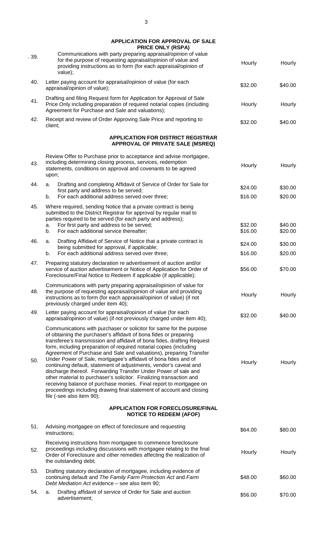**APPLICATION FOR APPROVAL OF SALE**

|     | <b>PRICE ONLY (RSPA)</b>                                                                                                                                                                                                                                                                                                                                                                                                                                                                                                                                                                                                                                                                                                                                                                                                    |                    |                    |
|-----|-----------------------------------------------------------------------------------------------------------------------------------------------------------------------------------------------------------------------------------------------------------------------------------------------------------------------------------------------------------------------------------------------------------------------------------------------------------------------------------------------------------------------------------------------------------------------------------------------------------------------------------------------------------------------------------------------------------------------------------------------------------------------------------------------------------------------------|--------------------|--------------------|
| 39. | Communications with party preparing appraisal/opinion of value<br>for the purpose of requesting appraisal/opinion of value and<br>providing instructions as to form (for each appraisal/opinion of<br>value);                                                                                                                                                                                                                                                                                                                                                                                                                                                                                                                                                                                                               | Hourly             | Hourly             |
| 40. | Letter paying account for appraisal/opinion of value (for each<br>appraisal/opinion of value);                                                                                                                                                                                                                                                                                                                                                                                                                                                                                                                                                                                                                                                                                                                              | \$32.00            | \$40.00            |
| 41. | Drafting and filing Request form for Application for Approval of Sale<br>Price Only including preparation of required notarial copies (including<br>Agreement for Purchase and Sale and valuations);                                                                                                                                                                                                                                                                                                                                                                                                                                                                                                                                                                                                                        | Hourly             | Hourly             |
| 42. | Receipt and review of Order Approving Sale Price and reporting to<br>client;                                                                                                                                                                                                                                                                                                                                                                                                                                                                                                                                                                                                                                                                                                                                                | \$32.00            | \$40.00            |
|     | <b>APPLICATION FOR DISTRICT REGISTRAR</b><br>APPROVAL OF PRIVATE SALE (MSREQ)                                                                                                                                                                                                                                                                                                                                                                                                                                                                                                                                                                                                                                                                                                                                               |                    |                    |
|     |                                                                                                                                                                                                                                                                                                                                                                                                                                                                                                                                                                                                                                                                                                                                                                                                                             |                    |                    |
| 43. | Review Offer to Purchase prior to acceptance and advise mortgagee,<br>including determining closing process, services, redemption<br>statements, conditions on approval and covenants to be agreed<br>upon;                                                                                                                                                                                                                                                                                                                                                                                                                                                                                                                                                                                                                 | Hourly             | Hourly             |
| 44. | Drafting and completing Affidavit of Service of Order for Sale for<br>a.<br>first party and address to be served;                                                                                                                                                                                                                                                                                                                                                                                                                                                                                                                                                                                                                                                                                                           | \$24.00            | \$30.00            |
|     | For each additional address served over three;<br>b.                                                                                                                                                                                                                                                                                                                                                                                                                                                                                                                                                                                                                                                                                                                                                                        | \$16.00            | \$20.00            |
| 45. | Where required, sending Notice that a private contract is being<br>submitted to the District Registrar for approval by regular mail to<br>parties required to be served (for each party and address);<br>For first party and address to be served;<br>а.<br>For each additional service thereafter;<br>b.                                                                                                                                                                                                                                                                                                                                                                                                                                                                                                                   | \$32.00<br>\$16.00 | \$40.00<br>\$20.00 |
| 46. | Drafting Affidavit of Service of Notice that a private contract is<br>a.                                                                                                                                                                                                                                                                                                                                                                                                                                                                                                                                                                                                                                                                                                                                                    |                    |                    |
|     | being submitted for approval, if applicable;<br>For each additional address served over three;<br>b.                                                                                                                                                                                                                                                                                                                                                                                                                                                                                                                                                                                                                                                                                                                        | \$24.00<br>\$16.00 | \$30.00<br>\$20.00 |
| 47. | Preparing statutory declaration re advertisement of auction and/or<br>service of auction advertisement or Notice of Application for Order of<br>Foreclosure/Final Notice to Redeem if applicable (if applicable);                                                                                                                                                                                                                                                                                                                                                                                                                                                                                                                                                                                                           | \$56.00            | \$70.00            |
| 48. | Communications with party preparing appraisal/opinion of value for<br>the purpose of requesting appraisal/opinion of value and providing<br>instructions as to form (for each appraisal/opinion of value) (if not<br>previously charged under item 40);                                                                                                                                                                                                                                                                                                                                                                                                                                                                                                                                                                     | Hourly             | Hourly             |
| 49. | Letter paying account for appraisal/opinion of value (for each<br>appraisal/opinion of value) (if not previously charged under item 40);                                                                                                                                                                                                                                                                                                                                                                                                                                                                                                                                                                                                                                                                                    | \$32.00            | \$40.00            |
| 50. | Communications with purchaser or solicitor for same for the purpose<br>of obtaining the purchaser's affidavit of bona fides or preparing<br>transferee's transmission and affidavit of bona fides, drafting Request<br>form, including preparation of required notarial copies (including<br>Agreement of Purchase and Sale and valuations), preparing Transfer<br>Under Power of Sale, mortgagee's affidavit of bona fides and of<br>continuing default, statement of adjustments, vendor's caveat and<br>discharge thereof. Forwarding Transfer Under Power of sale and<br>other material to purchaser's solicitor. Finalizing transaction and<br>receiving balance of purchase monies. Final report to mortgagee on<br>proceedings including drawing final statement of account and closing<br>file (-see also item 90); | Hourly             | Hourly             |
|     | <b>APPLICATION FOR FORECLOSURE/FINAL</b><br><b>NOTICE TO REDEEM (AFOF)</b>                                                                                                                                                                                                                                                                                                                                                                                                                                                                                                                                                                                                                                                                                                                                                  |                    |                    |
| 51. | Advising mortgagee on effect of foreclosure and requesting<br>instructions;                                                                                                                                                                                                                                                                                                                                                                                                                                                                                                                                                                                                                                                                                                                                                 | \$64.00            | \$80.00            |
| 52. | Receiving instructions from mortgagee to commence foreclosure<br>proceedings including discussions with mortgagee relating to the final<br>Order of Foreclosure and other remedies affecting the realization of<br>the outstanding debt;                                                                                                                                                                                                                                                                                                                                                                                                                                                                                                                                                                                    | Hourly             | Hourly             |
| 53. | Drafting statutory declaration of mortgagee, including evidence of<br>continuing default and The Family Farm Protection Act and Farm<br>Debt Mediation Act evidence - see also item 90;                                                                                                                                                                                                                                                                                                                                                                                                                                                                                                                                                                                                                                     | \$48.00            | \$60.00            |
| 54. | Drafting affidavit of service of Order for Sale and auction<br>a.<br>advertisement;                                                                                                                                                                                                                                                                                                                                                                                                                                                                                                                                                                                                                                                                                                                                         | \$56.00            | \$70.00            |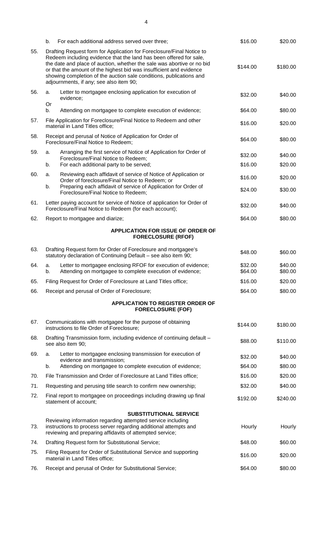|     | For each additional address served over three;<br>b.                                                                                                                                                                                                                                                                                                                                                           | \$16.00            | \$20.00            |
|-----|----------------------------------------------------------------------------------------------------------------------------------------------------------------------------------------------------------------------------------------------------------------------------------------------------------------------------------------------------------------------------------------------------------------|--------------------|--------------------|
| 55. | Drafting Request form for Application for Foreclosure/Final Notice to<br>Redeem including evidence that the land has been offered for sale,<br>the date and place of auction, whether the sale was abortive or no bid<br>or that the amount of the highest bid was insufficient and evidence<br>showing completion of the auction sale conditions, publications and<br>adjournments, if any; see also item 90; | \$144.00           | \$180.00           |
| 56. | Letter to mortgagee enclosing application for execution of<br>a.<br>evidence;                                                                                                                                                                                                                                                                                                                                  | \$32.00            | \$40.00            |
|     | Or<br>b.<br>Attending on mortgagee to complete execution of evidence;                                                                                                                                                                                                                                                                                                                                          | \$64.00            | \$80.00            |
| 57. | File Application for Foreclosure/Final Notice to Redeem and other<br>material in Land Titles office;                                                                                                                                                                                                                                                                                                           | \$16.00            | \$20.00            |
| 58. | Receipt and perusal of Notice of Application for Order of<br>Foreclosure/Final Notice to Redeem;                                                                                                                                                                                                                                                                                                               | \$64.00            | \$80.00            |
| 59. | Arranging the first service of Notice of Application for Order of<br>a.<br>Foreclosure/Final Notice to Redeem;                                                                                                                                                                                                                                                                                                 | \$32.00            | \$40.00            |
|     | For each additional party to be served;<br>b.                                                                                                                                                                                                                                                                                                                                                                  | \$16.00            | \$20.00            |
| 60. | Reviewing each affidavit of service of Notice of Application or<br>a.<br>Order of foreclosure/Final Notice to Redeem; or                                                                                                                                                                                                                                                                                       | \$16.00            | \$20.00            |
|     | Preparing each affidavit of service of Application for Order of<br>b.<br>Foreclosure/Final Notice to Redeem;                                                                                                                                                                                                                                                                                                   | \$24.00            | \$30.00            |
| 61. | Letter paying account for service of Notice of application for Order of<br>Foreclosure/Final Notice to Redeem (for each account);                                                                                                                                                                                                                                                                              | \$32.00            | \$40.00            |
| 62. | Report to mortgagee and diarize;                                                                                                                                                                                                                                                                                                                                                                               | \$64.00            | \$80.00            |
|     | <b>APPLICATION FOR ISSUE OF ORDER OF</b><br><b>FORECLOSURE (RFOF)</b>                                                                                                                                                                                                                                                                                                                                          |                    |                    |
| 63. | Drafting Request form for Order of Foreclosure and mortgagee's<br>statutory declaration of Continuing Default - see also item 90;                                                                                                                                                                                                                                                                              | \$48.00            | \$60.00            |
| 64. | Letter to mortgagee enclosing RFOF for execution of evidence;<br>a.<br>Attending on mortgagee to complete execution of evidence;<br>b.                                                                                                                                                                                                                                                                         | \$32.00<br>\$64.00 | \$40.00<br>\$80.00 |
| 65. | Filing Request for Order of Foreclosure at Land Titles office;                                                                                                                                                                                                                                                                                                                                                 | \$16.00            | \$20.00            |
| 66. | Receipt and perusal of Order of Foreclosure;                                                                                                                                                                                                                                                                                                                                                                   | \$64.00            | \$80.00            |
|     | <b>APPLICATION TO REGISTER ORDER OF</b><br><b>FORECLOSURE (FOF)</b>                                                                                                                                                                                                                                                                                                                                            |                    |                    |
| 67. | Communications with mortgagee for the purpose of obtaining<br>instructions to file Order of Foreclosure;                                                                                                                                                                                                                                                                                                       | \$144.00           | \$180.00           |
| 68. | Drafting Transmission form, including evidence of continuing default -<br>see also item 90;                                                                                                                                                                                                                                                                                                                    | \$88.00            | \$110.00           |
| 69. | Letter to mortgagee enclosing transmission for execution of<br>a.<br>evidence and transmission;                                                                                                                                                                                                                                                                                                                | \$32.00            | \$40.00            |
|     | Attending on mortgagee to complete execution of evidence;<br>b.                                                                                                                                                                                                                                                                                                                                                | \$64.00            | \$80.00            |
| 70. | File Transmission and Order of Foreclosure at Land Titles office;                                                                                                                                                                                                                                                                                                                                              | \$16.00            | \$20.00            |
| 71. | Requesting and perusing title search to confirm new ownership;                                                                                                                                                                                                                                                                                                                                                 | \$32.00            | \$40.00            |
| 72. | Final report to mortgagee on proceedings including drawing up final<br>statement of account;                                                                                                                                                                                                                                                                                                                   | \$192.00           | \$240.00           |
| 73. | <b>SUBSTITUTIONAL SERVICE</b><br>Reviewing information regarding attempted service including<br>instructions to process server regarding additional attempts and<br>reviewing and preparing affidavits of attempted service;                                                                                                                                                                                   | Hourly             | Hourly             |
| 74. | Drafting Request form for Substitutional Service;                                                                                                                                                                                                                                                                                                                                                              | \$48.00            | \$60.00            |
| 75. | Filing Request for Order of Substitutional Service and supporting<br>material in Land Titles office;                                                                                                                                                                                                                                                                                                           | \$16.00            | \$20.00            |
| 76. | Receipt and perusal of Order for Substitutional Service;                                                                                                                                                                                                                                                                                                                                                       | \$64.00            | \$80.00            |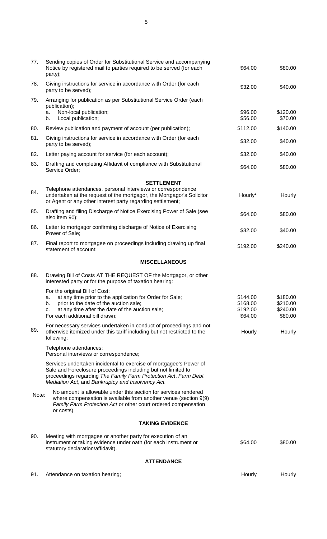| 77.   | Sending copies of Order for Substitutional Service and accompanying<br>Notice by registered mail to parties required to be served (for each<br>party);                                                                                                      | \$64.00              | \$80.00              |
|-------|-------------------------------------------------------------------------------------------------------------------------------------------------------------------------------------------------------------------------------------------------------------|----------------------|----------------------|
| 78.   | Giving instructions for service in accordance with Order (for each<br>party to be served);                                                                                                                                                                  | \$32.00              | \$40.00              |
| 79.   | Arranging for publication as per Substitutional Service Order (each<br>publication);                                                                                                                                                                        |                      |                      |
|       | Non-local publication;<br>a.<br>Local publication;<br>b.                                                                                                                                                                                                    | \$96.00<br>\$56.00   | \$120.00<br>\$70.00  |
| 80.   | Review publication and payment of account (per publication);                                                                                                                                                                                                | \$112.00             | \$140.00             |
| 81.   | Giving instructions for service in accordance with Order (for each<br>party to be served);                                                                                                                                                                  | \$32.00              | \$40.00              |
| 82.   | Letter paying account for service (for each account);                                                                                                                                                                                                       | \$32.00              | \$40.00              |
| 83.   | Drafting and completing Affidavit of compliance with Substitutional<br>Service Order;                                                                                                                                                                       | \$64.00              | \$80.00              |
|       | <b>SETTLEMENT</b>                                                                                                                                                                                                                                           |                      |                      |
| 84.   | Telephone attendances, personal interviews or correspondence<br>undertaken at the request of the mortgagor, the Mortgagor's Solicitor<br>or Agent or any other interest party regarding settlement;                                                         | Hourly*              | Hourly               |
| 85.   | Drafting and filing Discharge of Notice Exercising Power of Sale (see<br>also item 90);                                                                                                                                                                     | \$64.00              | \$80.00              |
| 86.   | Letter to mortgagor confirming discharge of Notice of Exercising<br>Power of Sale;                                                                                                                                                                          | \$32.00              | \$40.00              |
| 87.   | Final report to mortgagee on proceedings including drawing up final<br>statement of account;                                                                                                                                                                | \$192.00             | \$240.00             |
|       | <b>MISCELLANEOUS</b>                                                                                                                                                                                                                                        |                      |                      |
| 88.   | Drawing Bill of Costs AT THE REQUEST OF the Mortgagor, or other<br>interested party or for the purpose of taxation hearing:                                                                                                                                 |                      |                      |
|       | For the original Bill of Cost:                                                                                                                                                                                                                              |                      |                      |
|       | at any time prior to the application for Order for Sale;<br>prior to the date of the auction sale;<br>b.                                                                                                                                                    | \$144.00<br>\$168.00 | \$180.00<br>\$210.00 |
|       | at any time after the date of the auction sale;<br>c.                                                                                                                                                                                                       | \$192.00             | \$240.00             |
|       | For each additional bill drawn;                                                                                                                                                                                                                             | \$64.00              | \$80.00              |
| 89.   | For necessary services undertaken in conduct of proceedings and not<br>otherwise itemized under this tariff including but not restricted to the<br>following:                                                                                               | Hourly               | Hourly               |
|       | Telephone attendances;<br>Personal interviews or correspondence;                                                                                                                                                                                            |                      |                      |
|       | Services undertaken incidental to exercise of mortgagee's Power of<br>Sale and Foreclosure proceedings including but not limited to<br>proceedings regarding The Family Farm Protection Act, Farm Debt<br>Mediation Act, and Bankruptcy and Insolvency Act. |                      |                      |
| Note: | No amount is allowable under this section for services rendered<br>where compensation is available from another venue (section 9(9)<br>Family Farm Protection Act or other court ordered compensation<br>or costs)                                          |                      |                      |
|       | <b>TAKING EVIDENCE</b>                                                                                                                                                                                                                                      |                      |                      |
| 90.   | Meeting with mortgagee or another party for execution of an<br>instrument or taking evidence under oath (for each instrument or<br>statutory declaration/affidavit).                                                                                        | \$64.00              | \$80.00              |
|       | <b>ATTENDANCE</b>                                                                                                                                                                                                                                           |                      |                      |
| 91.   | Attendance on taxation hearing;                                                                                                                                                                                                                             | Hourly               | Hourly               |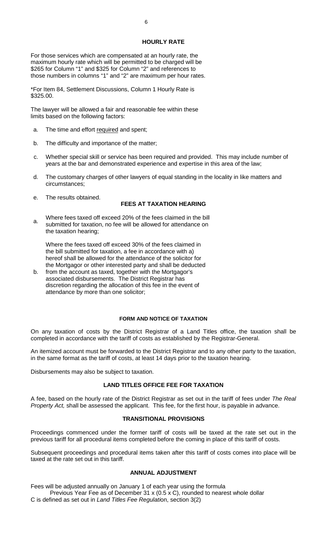## **HOURLY RATE**

For those services which are compensated at an hourly rate, the maximum hourly rate which will be permitted to be charged will be \$265 for Column "1" and \$325 for Column "2" and references to those numbers in columns "1" and "2" are maximum per hour rates.

\*For Item 84, Settlement Discussions, Column 1 Hourly Rate is \$325.00.

The lawyer will be allowed a fair and reasonable fee within these limits based on the following factors:

- a. The time and effort required and spent;
- b. The difficulty and importance of the matter;
- c. Whether special skill or service has been required and provided. This may include number of years at the bar and demonstrated experience and expertise in this area of the law;
- d. The customary charges of other lawyers of equal standing in the locality in like matters and circumstances;
- e. The results obtained.

# **FEES AT TAXATION HEARING**

a. Where fees taxed off exceed 20% of the fees claimed in the bill submitted for taxation, no fee will be allowed for attendance on the taxation hearing;

Where the fees taxed off exceed 30% of the fees claimed in the bill submitted for taxation, a fee in accordance with a) hereof shall be allowed for the attendance of the solicitor for the Mortgagor or other interested party and shall be deducted

b. from the account as taxed, together with the Mortgagor's associated disbursements. The District Registrar has discretion regarding the allocation of this fee in the event of attendance by more than one solicitor;

# **FORM AND NOTICE OF TAXATION**

On any taxation of costs by the District Registrar of a Land Titles office, the taxation shall be completed in accordance with the tariff of costs as established by the Registrar-General.

An itemized account must be forwarded to the District Registrar and to any other party to the taxation, in the same format as the tariff of costs, at least 14 days prior to the taxation hearing.

Disbursements may also be subject to taxation.

# **LAND TITLES OFFICE FEE FOR TAXATION**

A fee, based on the hourly rate of the District Registrar as set out in the tariff of fees under *The Real Property Act,* shall be assessed the applicant. This fee, for the first hour, is payable in advance.

## **TRANSITIONAL PROVISIONS**

Proceedings commenced under the former tariff of costs will be taxed at the rate set out in the previous tariff for all procedural items completed before the coming in place of this tariff of costs.

Subsequent proceedings and procedural items taken after this tariff of costs comes into place will be taxed at the rate set out in this tariff.

# **ANNUAL ADJUSTMENT**

Fees will be adjusted annually on January 1 of each year using the formula

Previous Year Fee as of December 31 x (0.5 x C), rounded to nearest whole dollar C is defined as set out in *Land Titles Fee Regulati*on, section 3(2)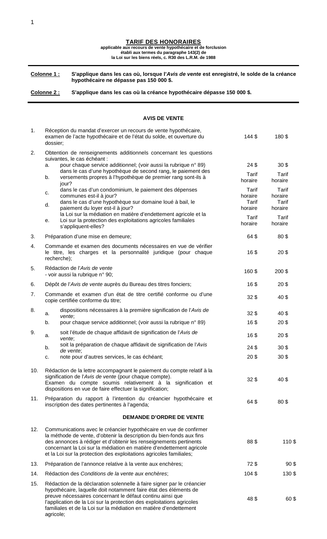|  |  |  |  | <b>TARIF DES HONORAIRES</b> |
|--|--|--|--|-----------------------------|
|--|--|--|--|-----------------------------|

**applicable aux recours de vente hypothécaire et de forclusion établi aux termes du paragraphe 143(2) de**

**la Loi sur les biens réels, c. R30 des L.R.M. de 1988**

**Colonne 1 : S'applique dans les cas où, lorsque l'***Avis de vente* **est enregistré, le solde de la créance hypothécaire ne dépasse pas 150 000 \$.**

**AVIS DE VENTE**

**Colonne 2 : S'applique dans les cas où la créance hypothécaire dépasse 150 000 \$.**

#### 1. Réception du mandat d'exercer un recours de vente hypothécaire, examen de l'acte hypothécaire et de l'état du solde, et ouverture du dossier; 144 \$ 180 \$ 2. Obtention de renseignements additionnels concernant les questions suivantes, le cas échéant : a. pour chaque service additionnel; (voir aussi la rubrique n° 89)  $24\frac{1}{9}$   $24\frac{1}{9}$   $30\frac{1}{9}$ b. dans le cas d'une hypothèque de second rang, le paiement des versements propres à l'hypothèque de premier rang sont-ils à jour? Tarif horaire Tarif horaire c. dans le cas d'un condominium, le paiement des dépenses communes est-il à jour? Tarif horaire Tarif horaire dans le cas d'une hypothèque sur domaine loué à bail, le paiement du loyer est-il à jour? Tarif horaire Tarif horaire e. la Loi sur la médiation en matière d'endettement agricole et la Loi sur la protection des exploitations agricoles familiales s'appliquent-elles? **Tarif** horaire Tarif horaire 3. Préparation d'une mise en demeure; en entre la maison de la maison de la maison de la maison de la maison de la maison de la maison de la maison de la maison de la maison de la maison de la maison de la maison de la mai 4. Commande et examen des documents nécessaires en vue de vérifier le titre, les charges et la personnalité juridique (pour chaque recherche); 16 \$ 20 \$ 5. Rédaction de l'*Avis de vente* edaction de l'*Avis de Vente*<br>- voir aussi la rubrique n° 90; 160 \$ 200 \$ 6. Dépôt de l'*Avis de vente* auprès du Bureau des titres fonciers; 16 \$ 20 \$ 7. Commande et examen d'un état de titre certifié conforme ou d'une commande et examen d'un état de titre certifié conforme du d'une<br>copie certifiée conforme du titre; 8. a. dispositions nécessaires à la première signification de l'*Avis de vente*;  $32 \text{ } \$$  40 \$ b. pour chaque service additionnel; (voir aussi la rubrique n° 89) 16\$ 20\$ 9. a. soit l'étude de chaque affidavit de signification de l'*Avis de vente*; 16 \$ 20 \$ b. soit la préparation de chaque affidavit de signification de l'*Avis de vente*; 24 \$ 30 \$ c. note pour d'autres services, le cas échéant; 20 \$ 30 \$ 10. Rédaction de la lettre accompagnant le paiement du compte relatif à la signification de l'*Avis de vente* (pour chaque compte). Examen du compte soumis relativement à la signification et dispositions en vue de faire effectuer la signification; 32 \$ 40 \$ 11. Préparation du rapport à l'intention du créancier hypothécaire et rieparation du rapport à intention du créancier hypothècaire et 64 \$ 64 \$ 80 \$ **DEMANDE D'ORDRE DE VENTE** 12. Communications avec le créancier hypothécaire en vue de confirmer la méthode de vente, d'obtenir la description du bien-fonds aux fins des annonces à rédiger et d'obtenir les renseignements pertinents concernant la Loi sur la médiation en matière d'endettement agricole et la Loi sur la protection des exploitations agricoles familiales; 88 \$ 110 \$ 13. Préparation de l'annonce relative à la vente aux enchères;  $\frac{1}{2}$  72 \$ 90 \$ 14. Rédaction des *Conditions de la vente aux enchères*; 104 millions 104 \$ 130 \$ 15. Rédaction de la déclaration solennelle à faire signer par le créancier hypothécaire, laquelle doit notamment faire état des éléments de preuve nécessaires concernant le défaut continu ainsi que l'application de la Loi sur la protection des exploitations agricoles 48 \$ 60 \$

familiales et de la Loi sur la médiation en matière d'endettement

agricole;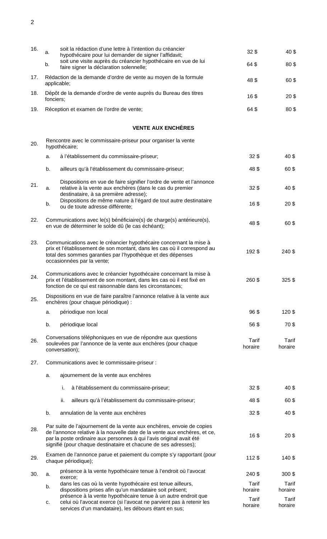| 16. | a.<br>b.  | soit la rédaction d'une lettre à l'intention du créancier<br>hypothécaire pour lui demander de signer l'affidavit;<br>soit une visite auprès du créancier hypothécaire en vue de lui<br>faire signer la déclaration solennelle;                                                               | 32 <sub>5</sub><br>64\$ | 40\$<br>80\$            |
|-----|-----------|-----------------------------------------------------------------------------------------------------------------------------------------------------------------------------------------------------------------------------------------------------------------------------------------------|-------------------------|-------------------------|
| 17. |           | Rédaction de la demande d'ordre de vente au moyen de la formule<br>applicable;                                                                                                                                                                                                                | 48\$                    | 60\$                    |
| 18. | fonciers; | Dépôt de la demande d'ordre de vente auprès du Bureau des titres                                                                                                                                                                                                                              | 16\$                    | 20\$                    |
| 19. |           | Réception et examen de l'ordre de vente;                                                                                                                                                                                                                                                      | 64\$                    | 80\$                    |
|     |           | <b>VENTE AUX ENCHÈRES</b>                                                                                                                                                                                                                                                                     |                         |                         |
| 20. |           | Rencontre avec le commissaire-priseur pour organiser la vente<br>hypothécaire;                                                                                                                                                                                                                |                         |                         |
|     | a.        | à l'établissement du commissaire-priseur;                                                                                                                                                                                                                                                     | $32\$                   | 40\$                    |
|     | b.        | ailleurs qu'à l'établissement du commissaire-priseur;                                                                                                                                                                                                                                         | 48\$                    | 60\$                    |
| 21. | a.        | Dispositions en vue de faire signifier l'ordre de vente et l'annonce<br>relative à la vente aux enchères (dans le cas du premier<br>destinataire, à sa première adresse);                                                                                                                     | $32\$                   | 40\$                    |
|     | b.        | Dispositions de même nature à l'égard de tout autre destinataire<br>ou de toute adresse différente;                                                                                                                                                                                           | 16\$                    | 20 <sup>3</sup>         |
| 22. |           | Communications avec le(s) bénéficiaire(s) de charge(s) antérieure(s),<br>en vue de déterminer le solde dû (le cas échéant);                                                                                                                                                                   | 48\$                    | 60\$                    |
| 23. |           | Communications avec le créancier hypothécaire concernant la mise à<br>prix et l'établissement de son montant, dans les cas où il correspond au<br>total des sommes garanties par l'hypothèque et des dépenses<br>occasionnées par la vente;                                                   | 192\$                   | 240 \$                  |
| 24. |           | Communications avec le créancier hypothécaire concernant la mise à<br>prix et l'établissement de son montant, dans les cas où il est fixé en<br>fonction de ce qui est raisonnable dans les circonstances;                                                                                    | 260\$                   | $325$ \$                |
| 25. |           | Dispositions en vue de faire paraître l'annonce relative à la vente aux<br>enchères (pour chaque périodique) :                                                                                                                                                                                |                         |                         |
|     | a.        | périodique non local                                                                                                                                                                                                                                                                          | 96\$                    | 120\$                   |
|     | b.        | périodique local                                                                                                                                                                                                                                                                              | 56\$                    | 70\$                    |
| 26. |           | Conversations téléphoniques en vue de répondre aux questions<br>soulevées par l'annonce de la vente aux enchères (pour chaque<br>conversation);                                                                                                                                               | Tarif<br>horaire        | Tarif<br>horaire        |
| 27. |           | Communications avec le commissaire-priseur :                                                                                                                                                                                                                                                  |                         |                         |
|     | a.        | ajournement de la vente aux enchères                                                                                                                                                                                                                                                          |                         |                         |
|     |           | i.<br>à l'établissement du commissaire-priseur;                                                                                                                                                                                                                                               | 32 <sub>5</sub>         | 40\$                    |
|     |           | ii.<br>ailleurs qu'à l'établissement du commissaire-priseur;                                                                                                                                                                                                                                  | 48\$                    | 60\$                    |
|     | b.        | annulation de la vente aux enchères                                                                                                                                                                                                                                                           | 32 <sub>0</sub>         | 40\$                    |
| 28. |           | Par suite de l'ajournement de la vente aux enchères, envoie de copies<br>de l'annonce relative à la nouvelle date de la vente aux enchères, et ce,<br>par la poste ordinaire aux personnes à qui l'avis original avait été<br>signifié (pour chaque destinataire et chacune de ses adresses); | 16\$                    | 20 <sup>3</sup>         |
| 29. |           | Examen de l'annonce parue et paiement du compte s'y rapportant (pour<br>chaque périodique);                                                                                                                                                                                                   | $112$ \$                | 140\$                   |
| 30. | a.        | présence à la vente hypothécaire tenue à l'endroit où l'avocat<br>exerce;                                                                                                                                                                                                                     | 240 \$                  | $300$ \$                |
|     | b.        | dans les cas où la vente hypothécaire est tenue ailleurs,<br>dispositions prises afin qu'un mandataire soit présent;                                                                                                                                                                          | Tarif<br>horaire        | <b>Tarif</b><br>horaire |
|     | c.        | présence à la vente hypothécaire tenue à un autre endroit que<br>celui où l'avocat exerce (si l'avocat ne parvient pas à retenir les<br>services d'un mandataire), les débours étant en sus;                                                                                                  | Tarif<br>horaire        | Tarif<br>horaire        |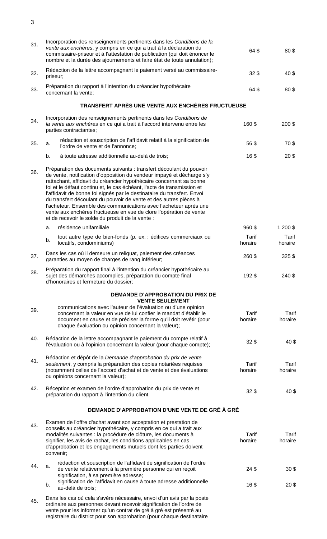| 31. | Incorporation des renseignements pertinents dans les Conditions de la<br>vente aux enchères, y compris en ce qui a trait à la déclaration du<br>commissaire-priseur et à l'attestation de publication (qui doit énoncer le<br>nombre et la durée des ajournements et faire état de toute annulation);                                                                                                                                                                                                                                                                                                                                        | 64\$             | 80\$                               |
|-----|----------------------------------------------------------------------------------------------------------------------------------------------------------------------------------------------------------------------------------------------------------------------------------------------------------------------------------------------------------------------------------------------------------------------------------------------------------------------------------------------------------------------------------------------------------------------------------------------------------------------------------------------|------------------|------------------------------------|
| 32. | Rédaction de la lettre accompagnant le paiement versé au commissaire-<br>priseur;                                                                                                                                                                                                                                                                                                                                                                                                                                                                                                                                                            | 32 <sub>5</sub>  | 40\$                               |
| 33. | Préparation du rapport à l'intention du créancier hypothécaire<br>concernant la vente;                                                                                                                                                                                                                                                                                                                                                                                                                                                                                                                                                       | 64\$             | 80\$                               |
|     | TRANSFERT APRÈS UNE VENTE AUX ENCHÈRES FRUCTUEUSE                                                                                                                                                                                                                                                                                                                                                                                                                                                                                                                                                                                            |                  |                                    |
| 34. | Incorporation des renseignements pertinents dans les Conditions de<br>la vente aux enchères en ce qui a trait à l'accord intervenu entre les<br>parties contractantes;                                                                                                                                                                                                                                                                                                                                                                                                                                                                       | 160\$            | 200 \$                             |
| 35. | rédaction et souscription de l'affidavit relatif à la signification de<br>a.<br>l'ordre de vente et de l'annonce;                                                                                                                                                                                                                                                                                                                                                                                                                                                                                                                            | 56\$             | 70\$                               |
|     | b.<br>à toute adresse additionnelle au-delà de trois;                                                                                                                                                                                                                                                                                                                                                                                                                                                                                                                                                                                        | 16\$             | 20 <sup>3</sup>                    |
| 36. | Préparation des documents suivants : transfert découlant du pouvoir<br>de vente, notification d'opposition du vendeur impayé et décharge s'y<br>rattachant, affidavit du créancier hypothécaire concernant sa bonne<br>foi et le défaut continu et, le cas échéant, l'acte de transmission et<br>l'affidavit de bonne foi signés par le destinataire du transfert. Envoi<br>du transfert découlant du pouvoir de vente et des autres pièces à<br>l'acheteur. Ensemble des communications avec l'acheteur après une<br>vente aux enchères fructueuse en vue de clore l'opération de vente<br>et de recevoir le solde du produit de la vente : |                  |                                    |
|     | résidence unifamiliale<br>a.                                                                                                                                                                                                                                                                                                                                                                                                                                                                                                                                                                                                                 | 960\$            | 1 200 \$                           |
|     | tout autre type de bien-fonds (p. ex. : édifices commerciaux ou<br>b.<br>locatifs, condominiums)                                                                                                                                                                                                                                                                                                                                                                                                                                                                                                                                             | Tarif<br>horaire | Tarif<br>horaire                   |
| 37. | Dans les cas où il demeure un reliquat, paiement des créances<br>garanties au moyen de charges de rang inférieur;                                                                                                                                                                                                                                                                                                                                                                                                                                                                                                                            | 260 \$           | $325$ \$                           |
| 38. | Préparation du rapport final à l'intention du créancier hypothécaire au<br>sujet des démarches accomplies, préparation du compte final<br>d'honoraires et fermeture du dossier;                                                                                                                                                                                                                                                                                                                                                                                                                                                              | 192\$            | 240 \$                             |
|     | <b>DEMANDE D'APPROBATION DU PRIX DE</b><br><b>VENTE SEULEMENT</b>                                                                                                                                                                                                                                                                                                                                                                                                                                                                                                                                                                            |                  |                                    |
| 39. | communications avec l'auteur de l'évaluation ou d'une opinion<br>concernant la valeur en vue de lui confier le mandat d'établir le<br>document en cause et de préciser la forme qu'il doit revêtir (pour<br>chaque évaluation ou opinion concernant la valeur);                                                                                                                                                                                                                                                                                                                                                                              | Tarif<br>horaire | Tarif<br>horaire                   |
| 40. | Rédaction de la lettre accompagnant le paiement du compte relatif à<br>l'évaluation ou à l'opinion concernant la valeur (pour chaque compte);                                                                                                                                                                                                                                                                                                                                                                                                                                                                                                | 32 <sub>0</sub>  | 40\$                               |
| 41. | Rédaction et dépôt de la Demande d'approbation du prix de vente<br>seulement, y compris la préparation des copies notariées requises<br>(notamment celles de l'accord d'achat et de vente et des évaluations<br>ou opinions concernant la valeur);                                                                                                                                                                                                                                                                                                                                                                                           | Tarif<br>horaire | Tarif<br>horaire                   |
| 42. | Réception et examen de l'ordre d'approbation du prix de vente et<br>préparation du rapport à l'intention du client,                                                                                                                                                                                                                                                                                                                                                                                                                                                                                                                          | $32$ \$          | 40\$                               |
|     | DEMANDE D'APPROBATION D'UNE VENTE DE GRÉ À GRÉ                                                                                                                                                                                                                                                                                                                                                                                                                                                                                                                                                                                               |                  |                                    |
| 43. | Examen de l'offre d'achat avant son acceptation et prestation de<br>conseils au créancier hypothécaire, y compris en ce qui a trait aux<br>modalités suivantes : la procédure de clôture, les documents à<br>signifier, les avis de rachat, les conditions applicables en cas<br>d'approbation et les engagements mutuels dont les parties doivent<br>convenir;                                                                                                                                                                                                                                                                              | Tarif<br>horaire | Tarif<br>horaire                   |
| 44. | rédaction et souscription de l'affidavit de signification de l'ordre<br>a.<br>de vente relativement à la première personne qui en reçoit<br>signification, à sa première adresse;<br>signification de l'affidavit en cause à toute adresse additionnelle<br>b.                                                                                                                                                                                                                                                                                                                                                                               | 24\$<br>16\$     | 30 <sup>6</sup><br>20 <sup>5</sup> |
| 45. | au-delà de trois;<br>Dans les cas où cela s'avère nécessaire, envoi d'un avis par la poste<br>ordinaire aux personnes devant recevoir signification de l'ordre de<br>vente pour les informer qu'un contrat de gré à gré est présenté au                                                                                                                                                                                                                                                                                                                                                                                                      |                  |                                    |

registraire du district pour son approbation (pour chaque destinataire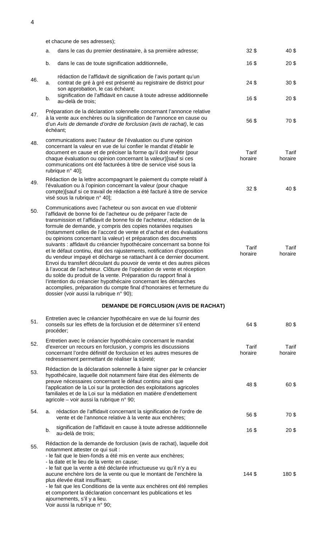et chacune de ses adresses); a. dans le cas du premier destinataire, à sa première adresse; 32\$ 32\$ 40 \$ b. dans le cas de toute signification additionnelle, 16 \$ 16 \$ 20 \$ 46. a. rédaction de l'affidavit de signification de l'avis portant qu'un contrat de gré à gré est présenté au registraire de district pour son approbation, le cas échéant; 24 \$ 30 \$ b. signification de l'affidavit en cause à toute adresse additionnelle au-delà de trois; <sup>16</sup> \$ <sup>20</sup> \$ 47. Préparation de la déclaration solennelle concernant l'annonce relative à la vente aux enchères ou la signification de l'annonce en cause ou d'un *Avis de demande d'ordre de forclusion (avis de rachat)*, le cas échéant; 56 \$ 70 \$ 48. communications avec l'auteur de l'évaluation ou d'une opinion concernant la valeur en vue de lui confier le mandat d'établir le document en cause et de préciser la forme qu'il doit revêtir (pour chaque évaluation ou opinion concernant la valeur)[sauf si ces communications ont été facturées à titre de service visé sous la rubrique n° 40]; Tarif horaire Tarif horaire 49. Rédaction de la lettre accompagnant le paiement du compte relatif à l'évaluation ou à l'opinion concernant la valeur (pour chaque compte)[sauf si ce travail de rédaction a été facturé à titre de service visé sous la rubrique n° 40];  $32 \text{ } \$$  40 \$ 50. Communications avec l'acheteur ou son avocat en vue d'obtenir l'affidavit de bonne foi de l'acheteur ou de préparer l'acte de transmission et l'affidavit de bonne foi de l'acheteur, rédaction de la formule de demande, y compris des copies notariées requises (notamment celles de l'accord de vente et d'achat et des évaluations ou opinions concernant la valeur) et préparation des documents suivants : affidavit du créancier hypothécaire concernant sa bonne foi et le défaut continu, état des rajustements, notification d'opposition du vendeur impayé et décharge se rattachant à ce dernier document. Envoi du transfert découlant du pouvoir de vente et des autres pièces à l'avocat de l'acheteur. Clôture de l'opération de vente et réception du solde du produit de la vente. Préparation du rapport final à l'intention du créancier hypothécaire concernant les démarches accomplies, préparation du compte final d'honoraires et fermeture du dossier (voir aussi la rubrique n° 90); Tarif horaire **Tarif** horaire **DEMANDE DE FORCLUSION (AVIS DE RACHAT)** 51. Entretien avec le créancier hypothécaire en vue de lui fournir des conseils sur les effets de la forclusion et de déterminer s'il entend procéder; 64 \$ 80 \$ 52. Entretien avec le créancier hypothécaire concernant le mandat d'exercer un recours en forclusion, y compris les discussions concernant l'ordre définitif de forclusion et les autres mesures de redressement permettant de réaliser la sûreté; Tarif horaire Tarif horaire 53. Rédaction de la déclaration solennelle à faire signer par le créancier hypothécaire, laquelle doit notamment faire état des éléments de preuve nécessaires concernant le défaut continu ainsi que l'application de la Loi sur la protection des exploitations agricoles familiales et de la Loi sur la médiation en matière d'endettement agricole – voir aussi la rubrique n° 90; 48 \$ 60 \$

54. a. rédaction de l'affidavit concernant la signification de l'ordre de vente et de l'annonce relative à la vente aux enchères;<br>vente et de l'annonce relative à la vente aux enchères; b. signification de l'affidavit en cause à toute adresse additionnelle au-delà de trois; <sup>16</sup> \$ <sup>20</sup> \$

55. Rédaction de la demande de forclusion (avis de rachat), laquelle doit notamment attester ce qui suit : - le fait que le bien-fonds a été mis en vente aux enchères;

- la date et le lieu de la vente en cause;

- le fait que la vente a été déclarée infructueuse vu qu'il n'y a eu

aucune enchère lors de la vente ou que le montant de l'enchère la plus élevée était insuffisant; - le fait que les Conditions de la vente aux enchères ont été remplies et comportent la déclaration concernant les publications et les ajournements, s'il y a lieu. 144 \$ 180 \$

Voir aussi la rubrique n° 90;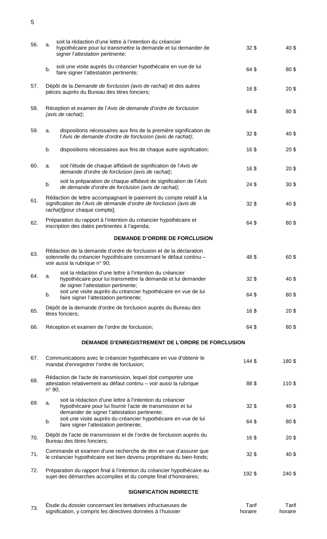| 56. | a.              | soit la rédaction d'une lettre à l'intention du créancier<br>hypothécaire pour lui transmettre la demande et lui demander de<br>signer l'attestation pertinente;           | 32 <sub>5</sub> | 40\$            |
|-----|-----------------|----------------------------------------------------------------------------------------------------------------------------------------------------------------------------|-----------------|-----------------|
|     | b.              | soit une visite auprès du créancier hypothécaire en vue de lui<br>faire signer l'attestation pertinente;                                                                   | 64\$            | 80\$            |
| 57. |                 | Dépôt de la Demande de forclusion (avis de rachat) et des autres<br>pièces auprès du Bureau des titres fonciers;                                                           | 16\$            | 20 <sup>6</sup> |
| 58. |                 | Réception et examen de l'Avis de demande d'ordre de forclusion<br>(avis de rachat);                                                                                        | 64\$            | 80\$            |
| 59. | a.              | dispositions nécessaires aux fins de la première signification de<br>l'Avis de demande d'ordre de forclusion (avis de rachat);                                             | $32$ \$         | 40\$            |
|     | b.              | dispositions nécessaires aux fins de chaque autre signification;                                                                                                           | 16\$            | 20 <sup>6</sup> |
| 60. | a.              | soit l'étude de chaque affidavit de signification de l'Avis de<br>demande d'ordre de forclusion (avis de rachat);                                                          | 16\$            | 20 <sup>6</sup> |
|     | b.              | soit la préparation de chaque affidavit de signification de l'Avis<br>de demande d'ordre de forclusion (avis de rachat);                                                   | 24 <sup>5</sup> | 30 <sup>6</sup> |
| 61. |                 | Rédaction de lettre accompagnant le paiement du compte relatif à la<br>signification de l'Avis de demande d'ordre de forclusion (avis de<br>rachat)[pour chaque compte];   | $32$ \$         | 40\$            |
| 62. |                 | Préparation du rapport à l'intention du créancier hypothécaire et<br>inscription des dates pertinentes à l'agenda;                                                         | 64\$            | 80\$            |
|     |                 | <b>DEMANDE D'ORDRE DE FORCLUSION</b>                                                                                                                                       |                 |                 |
| 63. |                 | Rédaction de la demande d'ordre de forclusion et de la déclaration<br>solennelle du créancier hypothécaire concernant le défaut continu -<br>voir aussi la rubrique n° 90; | 48\$            | 60\$            |
| 64. | а.              | soit la rédaction d'une lettre à l'intention du créancier<br>hypothécaire pour lui transmettre la demande et lui demander                                                  | $32$ \$         | 40\$            |
|     | b.              | de signer l'attestation pertinente;<br>soit une visite auprès du créancier hypothécaire en vue de lui<br>faire signer l'attestation pertinente;                            | 64\$            | 80\$            |
| 65. |                 | Dépôt de la demande d'ordre de forclusion auprès du Bureau des<br>titres fonciers;                                                                                         | 16\$            | 20 <sup>6</sup> |
| 66. |                 | Réception et examen de l'ordre de forclusion;                                                                                                                              | 64\$            | 80\$            |
|     |                 | DEMANDE D'ENREGISTREMENT DE L'ORDRE DE FORCLUSION                                                                                                                          |                 |                 |
| 67. |                 | Communications avec le créancier hypothécaire en vue d'obtenir le<br>mandat d'enregistrer l'ordre de forclusion;                                                           | 144\$           | 180\$           |
| 68. | $n^{\circ}$ 90; | Rédaction de l'acte de transmission, lequel doit comporter une<br>attestation relativement au défaut continu - voir aussi la rubrique                                      | 88\$            | 110\$           |
| 69. | a.              | soit la rédaction d'une lettre à l'intention du créancier<br>hypothécaire pour lui fournir l'acte de transmission et lui<br>demander de signer l'attestation pertinente;   | $32$ \$         | 40\$            |
|     | b.              | soit une visite auprès du créancier hypothécaire en vue de lui<br>faire signer l'attestation pertinente;                                                                   | 64\$            | 80\$            |
| 70. |                 | Dépôt de l'acte de transmission et de l'ordre de forclusion auprès du<br>Bureau des titres fonciers;                                                                       | 16\$            | 20 <sup>6</sup> |
| 71. |                 | Commande et examen d'une recherche de titre en vue d'assurer que<br>le créancier hypothécaire est bien devenu propriétaire du bien-fonds;                                  | $32$ \$         | 40\$            |
| 72. |                 | Préparation du rapport final à l'intention du créancier hypothécaire au<br>sujet des démarches accomplies et du compte final d'honoraires;                                 | 192\$           | 240 \$          |
|     |                 | <b>SIGNIFICATION INDIRECTE</b>                                                                                                                                             |                 |                 |

| 70 | Etude du dossier concernant les tentatives infructueuses de  | Tarif   | Tarif   |
|----|--------------------------------------------------------------|---------|---------|
|    | signification, y compris les directives données à l'huissier | horaire | horaire |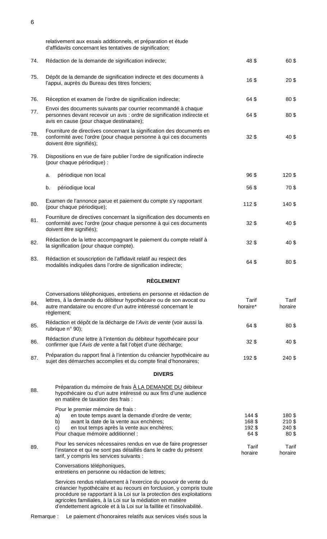|     | relativement aux essais additionnels, et préparation et étude<br>d'affidavits concernant les tentatives de signification;                                                                                                                                                                                                                               |                                 |                                                |
|-----|---------------------------------------------------------------------------------------------------------------------------------------------------------------------------------------------------------------------------------------------------------------------------------------------------------------------------------------------------------|---------------------------------|------------------------------------------------|
| 74. | Rédaction de la demande de signification indirecte;                                                                                                                                                                                                                                                                                                     | 48\$                            | 60\$                                           |
| 75. | Dépôt de la demande de signification indirecte et des documents à<br>l'appui, auprès du Bureau des titres fonciers;                                                                                                                                                                                                                                     | 16\$                            | 20 <sup>6</sup>                                |
| 76. | Réception et examen de l'ordre de signification indirecte;                                                                                                                                                                                                                                                                                              | 64\$                            | 80\$                                           |
| 77. | Envoi des documents suivants par courrier recommandé à chaque<br>personnes devant recevoir un avis : ordre de signification indirecte et<br>avis en cause (pour chaque destinataire);                                                                                                                                                                   | 64\$                            | 80\$                                           |
| 78. | Fourniture de directives concernant la signification des documents en<br>conformité avec l'ordre (pour chaque personne à qui ces documents<br>doivent être signifiés);                                                                                                                                                                                  | 32 <sub>5</sub>                 | 40\$                                           |
| 79. | Dispositions en vue de faire publier l'ordre de signification indirecte<br>(pour chaque périodique) :                                                                                                                                                                                                                                                   |                                 |                                                |
|     | périodique non local<br>a.                                                                                                                                                                                                                                                                                                                              | 96\$                            | 120\$                                          |
|     | b.<br>périodique local                                                                                                                                                                                                                                                                                                                                  | 56\$                            | 70\$                                           |
| 80. | Examen de l'annonce parue et paiement du compte s'y rapportant<br>(pour chaque périodique);                                                                                                                                                                                                                                                             | 112\$                           | 140\$                                          |
| 81. | Fourniture de directives concernant la signification des documents en<br>conformité avec l'ordre (pour chaque personne à qui ces documents<br>doivent être signifiés);                                                                                                                                                                                  | 32 <sub>0</sub>                 | 40\$                                           |
| 82. | Rédaction de la lettre accompagnant le paiement du compte relatif à<br>la signification (pour chaque compte).                                                                                                                                                                                                                                           | 32 <sub>0</sub>                 | 40\$                                           |
| 83. | Rédaction et souscription de l'affidavit relatif au respect des<br>modalités indiquées dans l'ordre de signification indirecte;                                                                                                                                                                                                                         | 64\$                            | 80\$                                           |
|     | <b>RÈGLEMENT</b>                                                                                                                                                                                                                                                                                                                                        |                                 |                                                |
| 84. | Conversations téléphoniques, entretiens en personne et rédaction de<br>lettres, à la demande du débiteur hypothécaire ou de son avocat ou<br>autre mandataire ou encore d'un autre intéressé concernant le<br>règlement;                                                                                                                                | Tarif<br>horaire*               | Tarif<br>horaire                               |
| 85. | Rédaction et dépôt de la décharge de l'Avis de vente (voir aussi la<br>rubrique n° 90);                                                                                                                                                                                                                                                                 | 64\$                            | 80\$                                           |
| 86. | Rédaction d'une lettre à l'intention du débiteur hypothécaire pour<br>confirmer que l'Avis de vente a fait l'objet d'une décharge;                                                                                                                                                                                                                      | 32 <sub>5</sub>                 | 40\$                                           |
| 87. | Préparation du rapport final à l'intention du créancier hypothécaire au<br>sujet des démarches accomplies et du compte final d'honoraires;                                                                                                                                                                                                              | 192\$                           | 240 \$                                         |
|     | <b>DIVERS</b>                                                                                                                                                                                                                                                                                                                                           |                                 |                                                |
| 88. | Préparation du mémoire de frais À LA DEMANDE DU débiteur<br>hypothécaire ou d'un autre intéressé ou aux fins d'une audience<br>en matière de taxation des frais :                                                                                                                                                                                       |                                 |                                                |
|     | Pour le premier mémoire de frais :<br>en toute temps avant la demande d'ordre de vente;<br>a)<br>avant la date de la vente aux enchères;<br>b)<br>en tout temps après la vente aux enchères;<br>c)<br>Pour chaque mémoire additionnel :                                                                                                                 | 144\$<br>168\$<br>192\$<br>64\$ | 180\$<br>$210$ \$<br>240 \$<br>80 <sup>3</sup> |
| 89. | Pour les services nécessaires rendus en vue de faire progresser<br>l'instance et qui ne sont pas détaillés dans le cadre du présent<br>tarif, y compris les services suivants :                                                                                                                                                                         | Tarif<br>horaire                | Tarif<br>horaire                               |
|     | Conversations téléphoniques,<br>entretiens en personne ou rédaction de lettres;                                                                                                                                                                                                                                                                         |                                 |                                                |
|     | Services rendus relativement à l'exercice du pouvoir de vente du<br>créancier hypothécaire et au recours en forclusion, y compris toute<br>procédure se rapportant à la Loi sur la protection des exploitations<br>agricoles familiales, à la Loi sur la médiation en matière<br>d'endettement agricole et à la Loi sur la faillite et l'insolvabilité. |                                 |                                                |

Remarque : Le paiement d'honoraires relatifs aux services visés sous la

6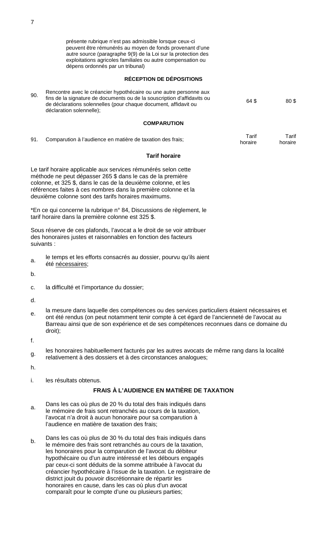présente rubrique n'est pas admissible lorsque ceux-ci peuvent être rémunérés au moyen de fonds provenant d'une autre source (paragraphe 9(9) de la Loi sur la protection des exploitations agricoles familiales ou autre compensation ou dépens ordonnés par un tribunal)

### **RÉCEPTION DE DÉPOSITIONS**

| 90. | Rencontre avec le créancier hypothécaire ou une autre personne aux<br>fins de la signature de documents ou de la souscription d'affidavits ou<br>de déclarations solennelles (pour chaque document, affidavit ou<br>déclaration solennelle); | 64 S | 80\$ |
|-----|----------------------------------------------------------------------------------------------------------------------------------------------------------------------------------------------------------------------------------------------|------|------|
|     |                                                                                                                                                                                                                                              |      |      |

#### **COMPARUTION**

|  | Comparution à l'audience en matière de taxation des frais; | Tarif   | $\tau$ arif |
|--|------------------------------------------------------------|---------|-------------|
|  |                                                            | horaire | horaire     |

#### **Tarif horaire**

Le tarif horaire applicable aux services rémunérés selon cette méthode ne peut dépasser 265 \$ dans le cas de la première colonne, et 325 \$, dans le cas de la deuxième colonne, et les références faites à ces nombres dans la première colonne et la deuxième colonne sont des tarifs horaires maximums.

\*En ce qui concerne la rubrique n° 84, Discussions de règlement, le tarif horaire dans la première colonne est 325 \$.

Sous réserve de ces plafonds, l'avocat a le droit de se voir attribuer des honoraires justes et raisonnables en fonction des facteurs suivants :

a. le temps et les efforts consacrés au dossier, pourvu qu'ils aient été nécessaires;

b.

c. la difficulté et l'importance du dossier;

d.

e. la mesure dans laquelle des compétences ou des services particuliers étaient nécessaires et ont été rendus (on peut notamment tenir compte à cet égard de l'ancienneté de l'avocat au Barreau ainsi que de son expérience et de ses compétences reconnues dans ce domaine du droit);

f.

les honoraires habituellement facturés par les autres avocats de même rang dans la localité<br>g. seletivement à des dessizes et à des sizes atomeses angles user relativement à des dossiers et à des circonstances analogues;

h.

i. les résultats obtenus.

# **FRAIS À L'AUDIENCE EN MATIÈRE DE TAXATION**

- a. Dans les cas où plus de 20 % du total des frais indiqués dans le mémoire de frais sont retranchés au cours de la taxation, l'avocat n'a droit à aucun honoraire pour sa comparution à l'audience en matière de taxation des frais;
- b. Dans les cas où plus de 30 % du total des frais indiqués dans le mémoire des frais sont retranchés au cours de la taxation, les honoraires pour la comparution de l'avocat du débiteur hypothécaire ou d'un autre intéressé et les débours engagés par ceux-ci sont déduits de la somme attribuée à l'avocat du créancier hypothécaire à l'issue de la taxation. Le registraire de district jouit du pouvoir discrétionnaire de répartir les honoraires en cause, dans les cas où plus d'un avocat comparaît pour le compte d'une ou plusieurs parties;